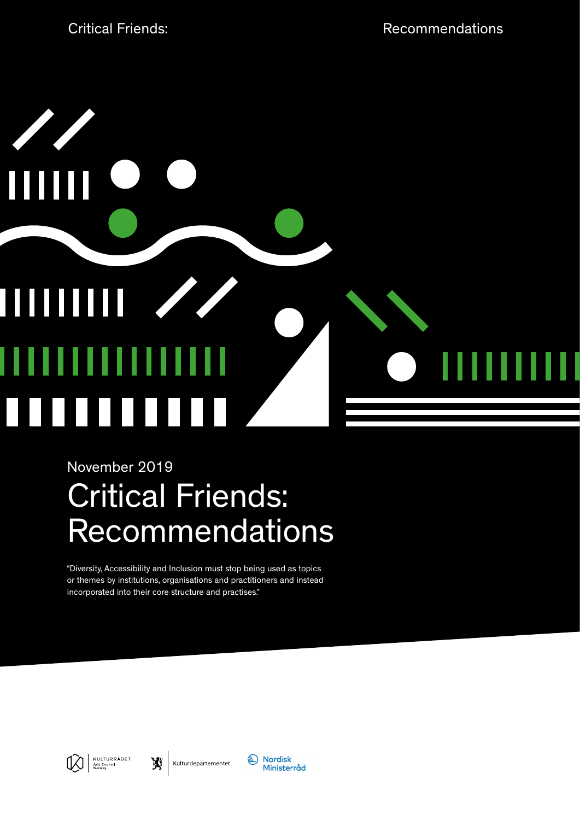

## November 2019

# Critical Friends: Recommendations

"Diversity, Accessibility and Inclusion must stop being used as topics or themes by institutions, organisations and practitioners and instead incorporated into their core structure and practises."



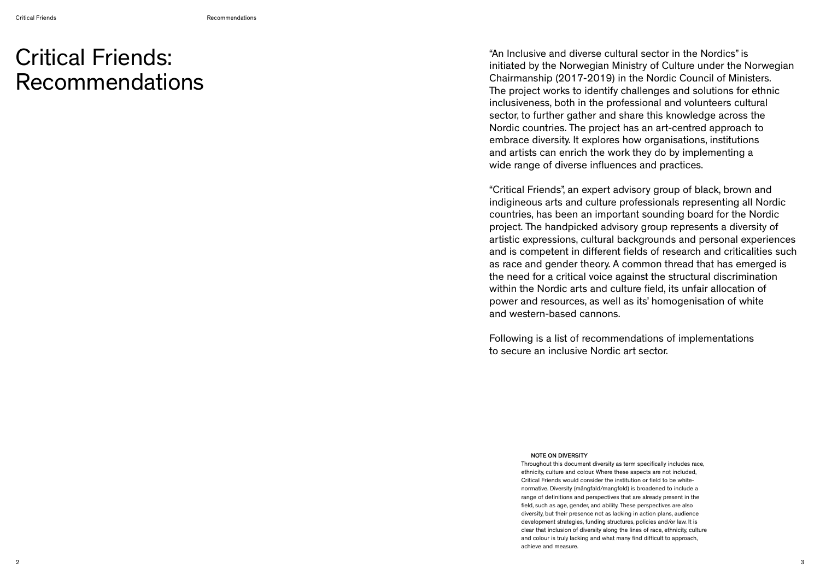"An Inclusive and diverse cultural sector in the Nordics" is initiated by the Norwegian Ministry of Culture under the Norwegian Chairmanship (2017-2019) in the Nordic Council of Ministers. The project works to identify challenges and solutions for ethnic inclusiveness, both in the professional and volunteers cultural sector, to further gather and share this knowledge across the Nordic countries. The project has an art-centred approach to embrace diversity. It explores how organisations, institutions and artists can enrich the work they do by implementing a wide range of diverse influences and practices.

"Critical Friends", an expert advisory group of black, brown and indigineous arts and culture professionals representing all Nordic countries, has been an important sounding board for the Nordic project. The handpicked advisory group represents a diversity of artistic expressions, cultural backgrounds and personal experiences and is competent in different fields of research and criticalities such as race and gender theory. A common thread that has emerged is the need for a critical voice against the structural discrimination within the Nordic arts and culture field, its unfair allocation of power and resources, as well as its' homogenisation of white and western-based cannons.

Following is a list of recommendations of implementations to secure an inclusive Nordic art sector.

## Critical Friends: Recommendations

### NOTE ON DIVERSITY

Throughout this document diversity as term specifically includes race, ethnicity, culture and colour. Where these aspects are not included, Critical Friends would consider the institution or field to be whitenormative. Diversity (mångfald/mangfold) is broadened to include a range of definitions and perspectives that are already present in the field, such as age, gender, and ability. These perspectives are also diversity, but their presence not as lacking in action plans, audience development strategies, funding structures, policies and/or law. It is clear that inclusion of diversity along the lines of race, ethnicity, culture and colour is truly lacking and what many find difficult to approach, achieve and measure.